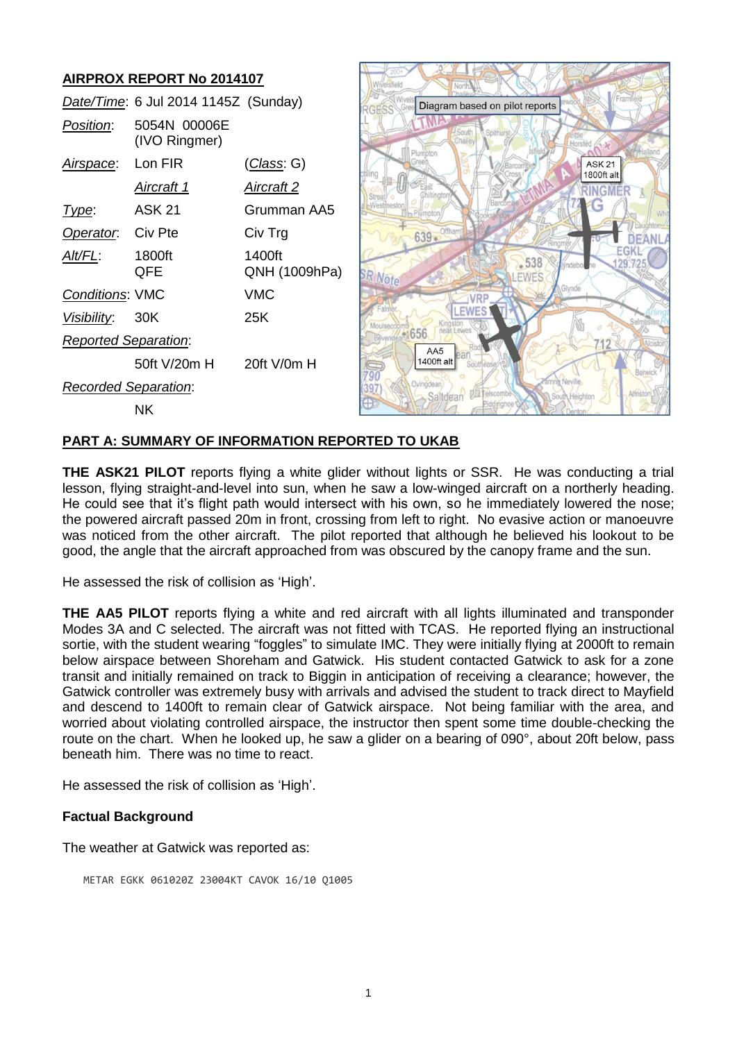# **AIRPROX REPORT No 2014107**

|                             | Date/Time: 6 Jul 2014 1145Z (Sunday) |                         |
|-----------------------------|--------------------------------------|-------------------------|
| <i>Position</i> :           | 5054N 00006E<br>(IVO Ringmer)        |                         |
| Airspace: Lon FIR           |                                      | (Class: G)              |
|                             | Aircraft 1                           | <u>Aircraft 2</u>       |
| Type:                       | ASK 21                               | Grumman AA5             |
| Operator. Civ Pte           |                                      | Civ Trg                 |
| Alt/FL:                     | 1800ft<br>QFE                        | 1400ft<br>QNH (1009hPa) |
| <b>Conditions: VMC</b>      |                                      | VMC                     |
| Visibility: 30K             |                                      | 25K                     |
| <b>Reported Separation:</b> |                                      |                         |
|                             | 50ft V/20m H                         | $20$ ft V/0m H          |
| <b>Recorded Separation:</b> |                                      |                         |
|                             | ΝK                                   |                         |



#### **PART A: SUMMARY OF INFORMATION REPORTED TO UKAB**

**THE ASK21 PILOT** reports flying a white glider without lights or SSR. He was conducting a trial lesson, flying straight-and-level into sun, when he saw a low-winged aircraft on a northerly heading. He could see that it's flight path would intersect with his own, so he immediately lowered the nose; the powered aircraft passed 20m in front, crossing from left to right. No evasive action or manoeuvre was noticed from the other aircraft. The pilot reported that although he believed his lookout to be good, the angle that the aircraft approached from was obscured by the canopy frame and the sun.

He assessed the risk of collision as 'High'.

**THE AA5 PILOT** reports flying a white and red aircraft with all lights illuminated and transponder Modes 3A and C selected. The aircraft was not fitted with TCAS. He reported flying an instructional sortie, with the student wearing "foggles" to simulate IMC. They were initially flying at 2000ft to remain below airspace between Shoreham and Gatwick. His student contacted Gatwick to ask for a zone transit and initially remained on track to Biggin in anticipation of receiving a clearance; however, the Gatwick controller was extremely busy with arrivals and advised the student to track direct to Mayfield and descend to 1400ft to remain clear of Gatwick airspace. Not being familiar with the area, and worried about violating controlled airspace, the instructor then spent some time double-checking the route on the chart. When he looked up, he saw a glider on a bearing of 090°, about 20ft below, pass beneath him. There was no time to react.

He assessed the risk of collision as 'High'.

#### **Factual Background**

The weather at Gatwick was reported as:

METAR EGKK 061020Z 23004KT CAVOK 16/10 Q1005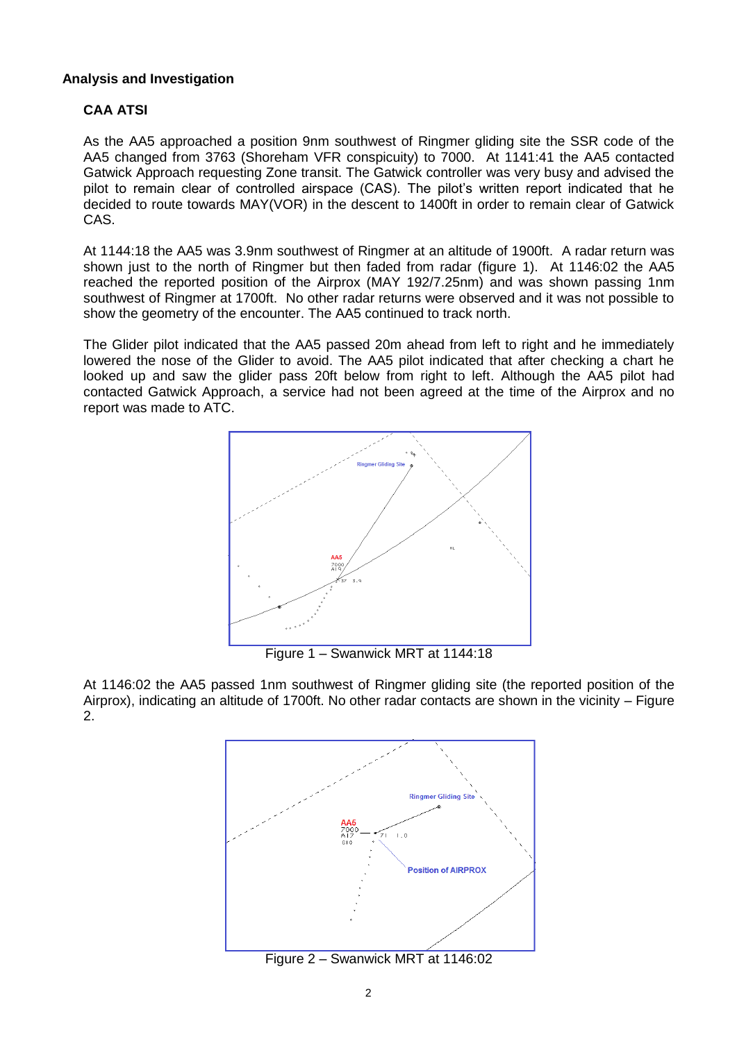## **Analysis and Investigation**

# **CAA ATSI**

As the AA5 approached a position 9nm southwest of Ringmer gliding site the SSR code of the AA5 changed from 3763 (Shoreham VFR conspicuity) to 7000. At 1141:41 the AA5 contacted Gatwick Approach requesting Zone transit. The Gatwick controller was very busy and advised the pilot to remain clear of controlled airspace (CAS). The pilot's written report indicated that he decided to route towards MAY(VOR) in the descent to 1400ft in order to remain clear of Gatwick CAS.

At 1144:18 the AA5 was 3.9nm southwest of Ringmer at an altitude of 1900ft. A radar return was shown just to the north of Ringmer but then faded from radar (figure 1). At 1146:02 the AA5 reached the reported position of the Airprox (MAY 192/7.25nm) and was shown passing 1nm southwest of Ringmer at 1700ft. No other radar returns were observed and it was not possible to show the geometry of the encounter. The AA5 continued to track north.

The Glider pilot indicated that the AA5 passed 20m ahead from left to right and he immediately lowered the nose of the Glider to avoid. The AA5 pilot indicated that after checking a chart he looked up and saw the glider pass 20ft below from right to left. Although the AA5 pilot had contacted Gatwick Approach, a service had not been agreed at the time of the Airprox and no report was made to ATC.



Figure 1 – Swanwick MRT at 1144:18

At 1146:02 the AA5 passed 1nm southwest of Ringmer gliding site (the reported position of the Airprox), indicating an altitude of 1700ft. No other radar contacts are shown in the vicinity – Figure 2.